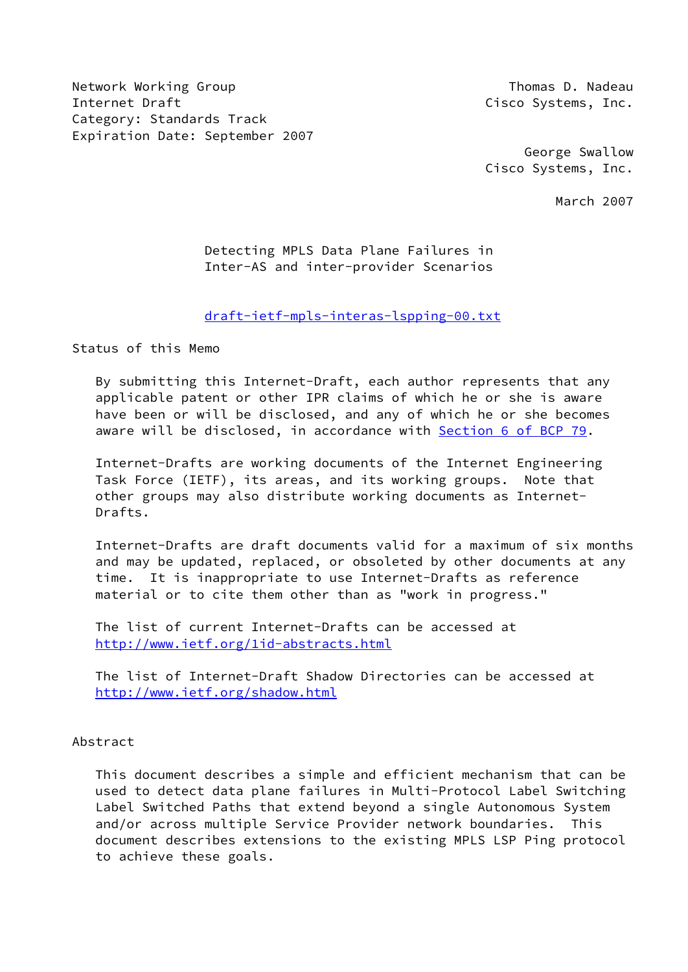Network Working Group Thomas D. Nadeau Internet Draft Cisco Systems, Inc. Category: Standards Track Expiration Date: September 2007

 George Swallow Cisco Systems, Inc.

March 2007

# Detecting MPLS Data Plane Failures in Inter-AS and inter-provider Scenarios

# [draft-ietf-mpls-interas-lspping-00.txt](https://datatracker.ietf.org/doc/pdf/draft-ietf-mpls-interas-lspping-00.txt)

Status of this Memo

 By submitting this Internet-Draft, each author represents that any applicable patent or other IPR claims of which he or she is aware have been or will be disclosed, and any of which he or she becomes aware will be disclosed, in accordance with Section [6 of BCP 79.](https://datatracker.ietf.org/doc/pdf/bcp79#section-6)

 Internet-Drafts are working documents of the Internet Engineering Task Force (IETF), its areas, and its working groups. Note that other groups may also distribute working documents as Internet- Drafts.

 Internet-Drafts are draft documents valid for a maximum of six months and may be updated, replaced, or obsoleted by other documents at any time. It is inappropriate to use Internet-Drafts as reference material or to cite them other than as "work in progress."

 The list of current Internet-Drafts can be accessed at <http://www.ietf.org/1id-abstracts.html>

 The list of Internet-Draft Shadow Directories can be accessed at <http://www.ietf.org/shadow.html>

# Abstract

 This document describes a simple and efficient mechanism that can be used to detect data plane failures in Multi-Protocol Label Switching Label Switched Paths that extend beyond a single Autonomous System and/or across multiple Service Provider network boundaries. This document describes extensions to the existing MPLS LSP Ping protocol to achieve these goals.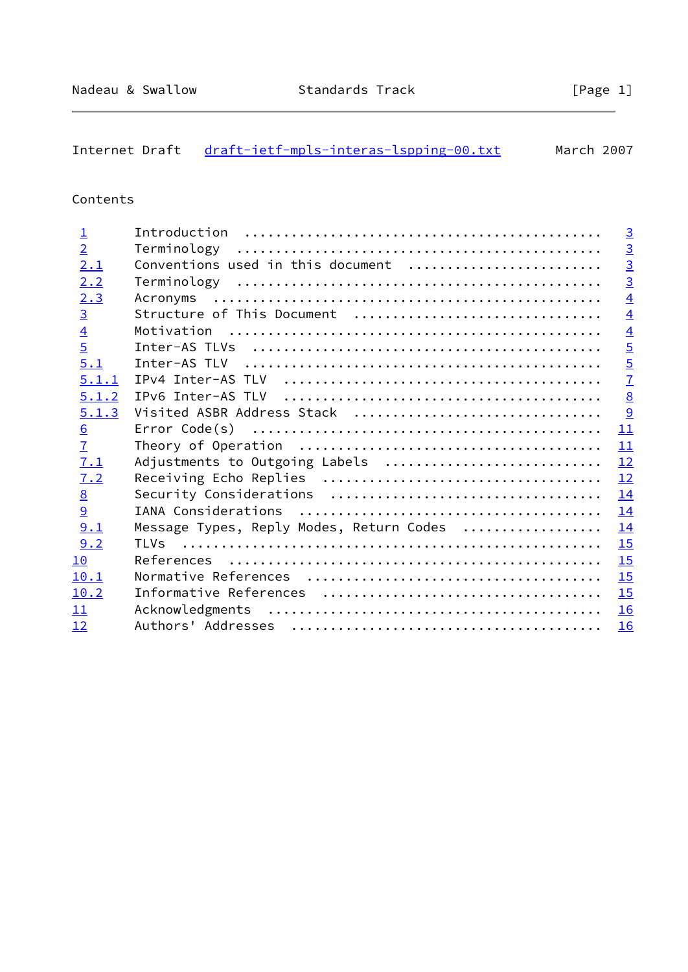# Internet Draft [draft-ietf-mpls-interas-lspping-00.txt](https://datatracker.ietf.org/doc/pdf/draft-ietf-mpls-interas-lspping-00.txt) March 2007

# Contents

| $\overline{\mathsf{I}}$ |                                          | $\overline{3}$  |
|-------------------------|------------------------------------------|-----------------|
| $\overline{2}$          |                                          | $\overline{3}$  |
| 2.1                     | Conventions used in this document        | $\overline{3}$  |
| 2.2                     |                                          | $\overline{3}$  |
| 2.3                     | Acronyms                                 | $\overline{4}$  |
| $\overline{3}$          | Structure of This Document               | $\overline{4}$  |
| $\overline{4}$          |                                          | $\overline{4}$  |
| $\overline{5}$          |                                          | $\overline{5}$  |
| 5.1                     |                                          | $\overline{5}$  |
| 5.1.1                   |                                          | $\overline{1}$  |
| 5.1.2                   |                                          | $\underline{8}$ |
| 5.1.3                   | Visited ASBR Address Stack               | 9               |
| $6 \overline{6}$        |                                          | 11              |
| $\overline{7}$          |                                          | 11              |
| 7.1                     | Adjustments to Outgoing Labels           | 12              |
| 7.2                     |                                          | 12              |
| $\underline{8}$         |                                          | 14              |
| 9                       |                                          | 14              |
| 9.1                     | Message Types, Reply Modes, Return Codes | 14              |
| 9.2                     |                                          | 15              |
| 10                      |                                          | 15              |
| 10.1                    |                                          | 15              |
| 10.2                    |                                          | 15              |
| 11                      |                                          | 16              |
| 12                      |                                          | 16              |
|                         |                                          |                 |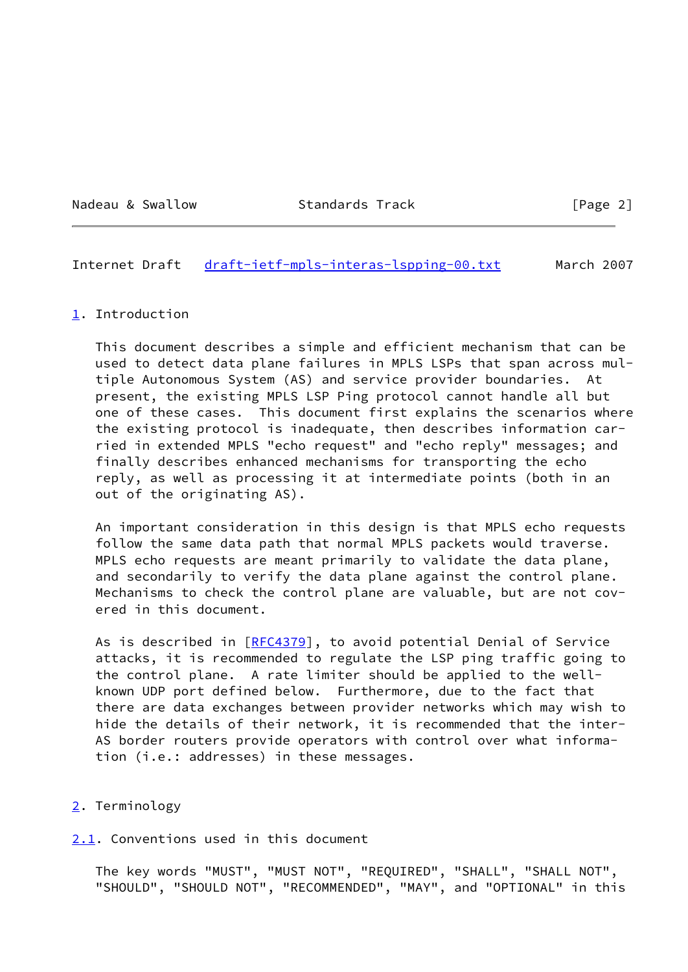Nadeau & Swallow **Standards Track** [Page 2]

#### <span id="page-2-1"></span>Internet Draft [draft-ietf-mpls-interas-lspping-00.txt](https://datatracker.ietf.org/doc/pdf/draft-ietf-mpls-interas-lspping-00.txt) March 2007

#### <span id="page-2-0"></span>[1](#page-2-0). Introduction

 This document describes a simple and efficient mechanism that can be used to detect data plane failures in MPLS LSPs that span across mul tiple Autonomous System (AS) and service provider boundaries. At present, the existing MPLS LSP Ping protocol cannot handle all but one of these cases. This document first explains the scenarios where the existing protocol is inadequate, then describes information car ried in extended MPLS "echo request" and "echo reply" messages; and finally describes enhanced mechanisms for transporting the echo reply, as well as processing it at intermediate points (both in an out of the originating AS).

 An important consideration in this design is that MPLS echo requests follow the same data path that normal MPLS packets would traverse. MPLS echo requests are meant primarily to validate the data plane, and secondarily to verify the data plane against the control plane. Mechanisms to check the control plane are valuable, but are not cov ered in this document.

As is described in [[RFC4379\]](https://datatracker.ietf.org/doc/pdf/rfc4379), to avoid potential Denial of Service attacks, it is recommended to regulate the LSP ping traffic going to the control plane. A rate limiter should be applied to the well known UDP port defined below. Furthermore, due to the fact that there are data exchanges between provider networks which may wish to hide the details of their network, it is recommended that the inter- AS border routers provide operators with control over what informa tion (i.e.: addresses) in these messages.

<span id="page-2-2"></span>[2](#page-2-2). Terminology

<span id="page-2-3"></span>[2.1](#page-2-3). Conventions used in this document

 The key words "MUST", "MUST NOT", "REQUIRED", "SHALL", "SHALL NOT", "SHOULD", "SHOULD NOT", "RECOMMENDED", "MAY", and "OPTIONAL" in this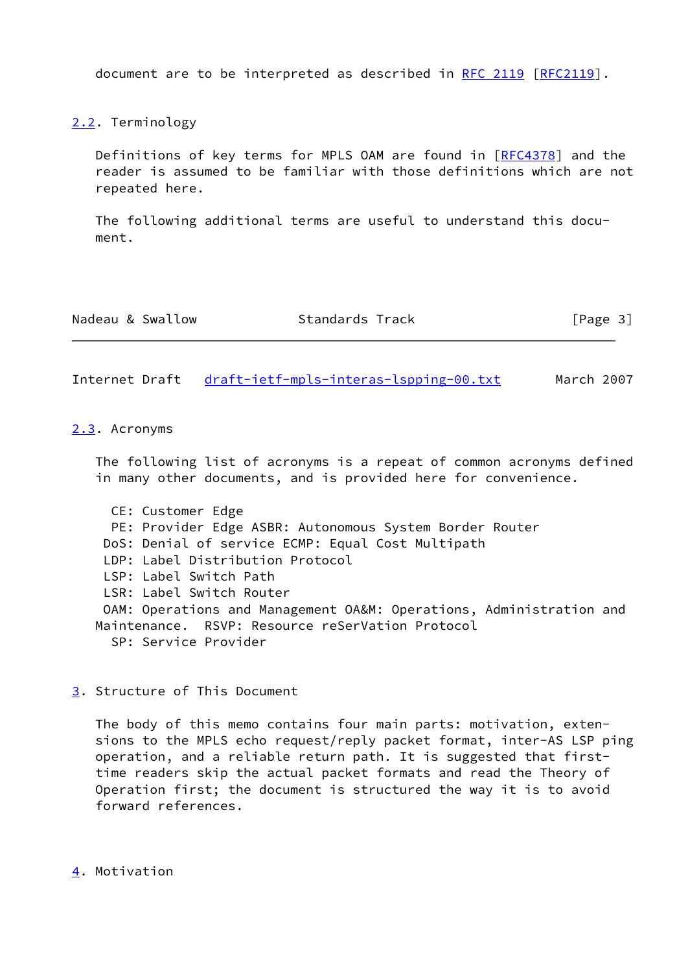document are to be interpreted as described in [RFC 2119 \[RFC2119](https://datatracker.ietf.org/doc/pdf/rfc2119)].

<span id="page-3-0"></span>[2.2](#page-3-0). Terminology

Definitions of key terms for MPLS OAM are found in [[RFC4378\]](https://datatracker.ietf.org/doc/pdf/rfc4378) and the reader is assumed to be familiar with those definitions which are not repeated here.

 The following additional terms are useful to understand this docu ment.

| Nadeau & Swallow | Standards Track | [Page 3] |
|------------------|-----------------|----------|
|                  |                 |          |

<span id="page-3-2"></span>Internet Draft [draft-ietf-mpls-interas-lspping-00.txt](https://datatracker.ietf.org/doc/pdf/draft-ietf-mpls-interas-lspping-00.txt) March 2007

<span id="page-3-1"></span>[2.3](#page-3-1). Acronyms

 The following list of acronyms is a repeat of common acronyms defined in many other documents, and is provided here for convenience.

 CE: Customer Edge PE: Provider Edge ASBR: Autonomous System Border Router DoS: Denial of service ECMP: Equal Cost Multipath LDP: Label Distribution Protocol LSP: Label Switch Path LSR: Label Switch Router OAM: Operations and Management OA&M: Operations, Administration and Maintenance. RSVP: Resource reSerVation Protocol SP: Service Provider

<span id="page-3-3"></span>[3](#page-3-3). Structure of This Document

 The body of this memo contains four main parts: motivation, exten sions to the MPLS echo request/reply packet format, inter-AS LSP ping operation, and a reliable return path. It is suggested that first time readers skip the actual packet formats and read the Theory of Operation first; the document is structured the way it is to avoid forward references.

<span id="page-3-4"></span>[4](#page-3-4). Motivation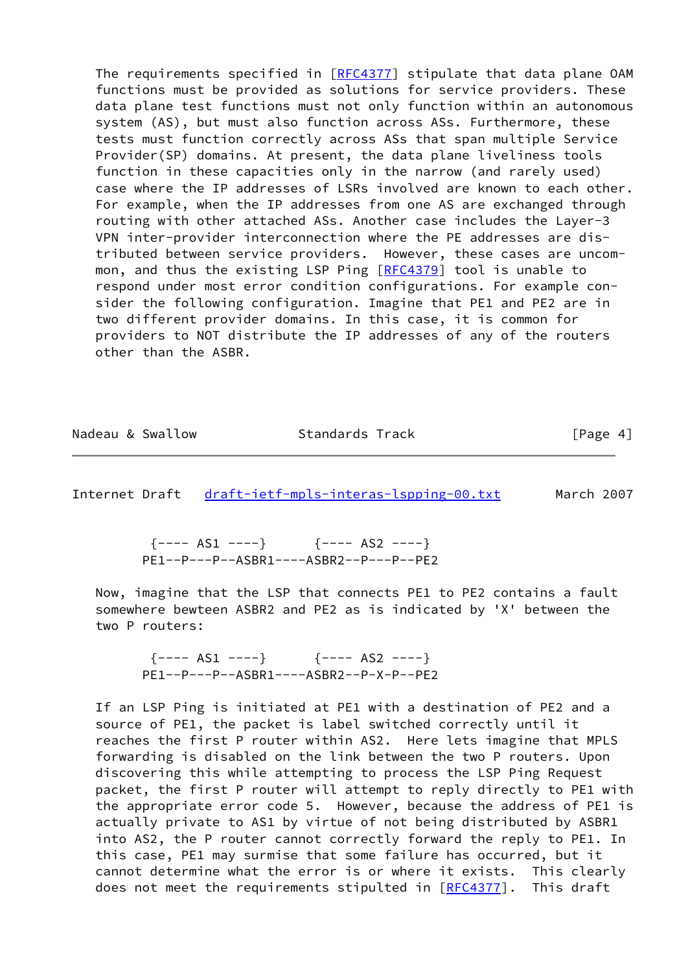The requirements specified in [[RFC4377](https://datatracker.ietf.org/doc/pdf/rfc4377)] stipulate that data plane OAM functions must be provided as solutions for service providers. These data plane test functions must not only function within an autonomous system (AS), but must also function across ASs. Furthermore, these tests must function correctly across ASs that span multiple Service Provider(SP) domains. At present, the data plane liveliness tools function in these capacities only in the narrow (and rarely used) case where the IP addresses of LSRs involved are known to each other. For example, when the IP addresses from one AS are exchanged through routing with other attached ASs. Another case includes the Layer-3 VPN inter-provider interconnection where the PE addresses are dis tributed between service providers. However, these cases are uncom- mon, and thus the existing LSP Ping [\[RFC4379](https://datatracker.ietf.org/doc/pdf/rfc4379)] tool is unable to respond under most error condition configurations. For example con sider the following configuration. Imagine that PE1 and PE2 are in two different provider domains. In this case, it is common for providers to NOT distribute the IP addresses of any of the routers other than the ASBR.

|  | Nadeau & Swallow | Standards Track | [Page 4] |  |
|--|------------------|-----------------|----------|--|
|  |                  |                 |          |  |

<span id="page-4-0"></span>Internet Draft [draft-ietf-mpls-interas-lspping-00.txt](https://datatracker.ietf.org/doc/pdf/draft-ietf-mpls-interas-lspping-00.txt) March 2007

 {---- AS1 ----} {---- AS2 ----} PE1--P---P--ASBR1----ASBR2--P---P--PE2

 Now, imagine that the LSP that connects PE1 to PE2 contains a fault somewhere bewteen ASBR2 and PE2 as is indicated by 'X' between the two P routers:

 ${----}$  AS1 ----}  ${----}$  AS2 ----} PE1--P---P--ASBR1----ASBR2--P-X-P--PE2

 If an LSP Ping is initiated at PE1 with a destination of PE2 and a source of PE1, the packet is label switched correctly until it reaches the first P router within AS2. Here lets imagine that MPLS forwarding is disabled on the link between the two P routers. Upon discovering this while attempting to process the LSP Ping Request packet, the first P router will attempt to reply directly to PE1 with the appropriate error code 5. However, because the address of PE1 is actually private to AS1 by virtue of not being distributed by ASBR1 into AS2, the P router cannot correctly forward the reply to PE1. In this case, PE1 may surmise that some failure has occurred, but it cannot determine what the error is or where it exists. This clearly does not meet the requirements stipulted in [\[RFC4377](https://datatracker.ietf.org/doc/pdf/rfc4377)]. This draft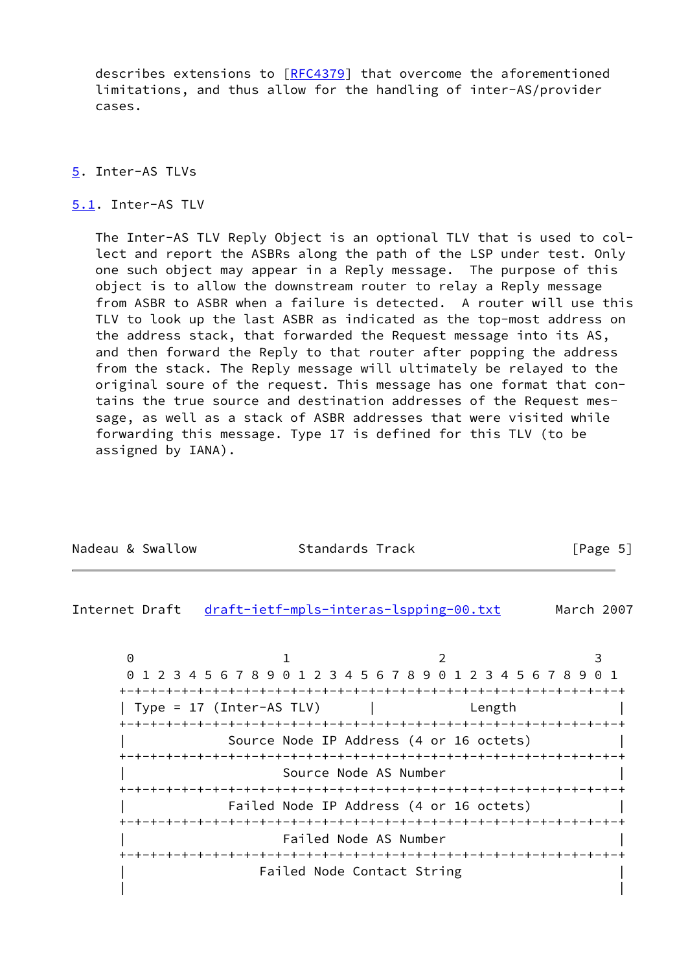describes extensions to [\[RFC4379](https://datatracker.ietf.org/doc/pdf/rfc4379)] that overcome the aforementioned limitations, and thus allow for the handling of inter-AS/provider cases.

#### <span id="page-5-0"></span>[5](#page-5-0). Inter-AS TLVs

#### <span id="page-5-1"></span>[5.1](#page-5-1). Inter-AS TLV

 The Inter-AS TLV Reply Object is an optional TLV that is used to col lect and report the ASBRs along the path of the LSP under test. Only one such object may appear in a Reply message. The purpose of this object is to allow the downstream router to relay a Reply message from ASBR to ASBR when a failure is detected. A router will use this TLV to look up the last ASBR as indicated as the top-most address on the address stack, that forwarded the Request message into its AS, and then forward the Reply to that router after popping the address from the stack. The Reply message will ultimately be relayed to the original soure of the request. This message has one format that con tains the true source and destination addresses of the Request mes sage, as well as a stack of ASBR addresses that were visited while forwarding this message. Type 17 is defined for this TLV (to be assigned by IANA).

|                |                                                                 |                            | L'ICI I    |
|----------------|-----------------------------------------------------------------|----------------------------|------------|
| Internet Draft | draft-ietf-mpls-interas-lspping-00.txt                          |                            | March 2007 |
| $\Theta$       | 0 1 2 3 4 5 6 7 8 9 0 1 2 3 4 5 6 7 8 9 0 1 2 3 4 5 6 7 8 9 0 1 |                            |            |
|                | Type = $17$ (Inter-AS TLV)                                      |                            | Length     |
|                | Source Node IP Address (4 or 16 octets)                         |                            |            |
|                |                                                                 | Source Node AS Number      |            |
|                | Failed Node IP Address (4 or 16 octets)                         |                            |            |
|                |                                                                 | Failed Node AS Number      |            |
|                |                                                                 | Failed Node Contact String |            |
|                |                                                                 |                            |            |

Nadeau & Swallow **Standards Track** [Page 5]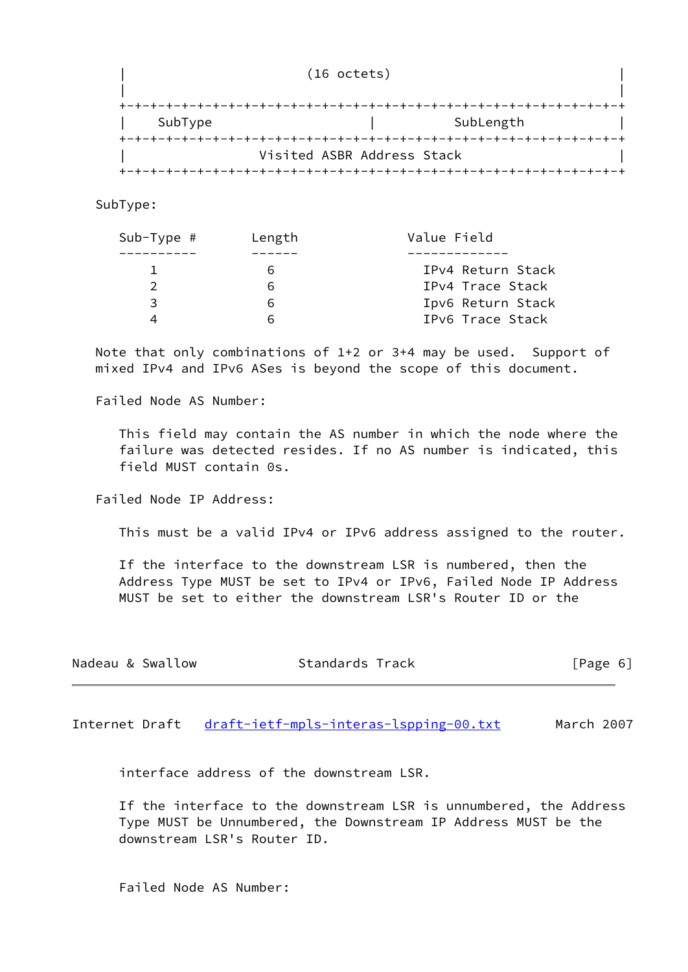|         | (16 octets)                |  |
|---------|----------------------------|--|
|         |                            |  |
|         |                            |  |
| SubType | SubLength                  |  |
|         |                            |  |
|         | Visited ASBR Address Stack |  |
|         |                            |  |

SubType:

| Sub-Type $#$ | Length | Value Field       |
|--------------|--------|-------------------|
|              |        |                   |
|              |        | IPv4 Return Stack |
|              |        | IPv4 Trace Stack  |
| 3            |        | Ipv6 Return Stack |
|              |        | IPv6 Trace Stack  |

 Note that only combinations of 1+2 or 3+4 may be used. Support of mixed IPv4 and IPv6 ASes is beyond the scope of this document.

Failed Node AS Number:

 This field may contain the AS number in which the node where the failure was detected resides. If no AS number is indicated, this field MUST contain 0s.

Failed Node IP Address:

This must be a valid IPv4 or IPv6 address assigned to the router.

 If the interface to the downstream LSR is numbered, then the Address Type MUST be set to IPv4 or IPv6, Failed Node IP Address MUST be set to either the downstream LSR's Router ID or the

| Nadeau & Swallow | Standards Track | [Page 6] |  |
|------------------|-----------------|----------|--|
|                  |                 |          |  |

<span id="page-6-0"></span>Internet Draft [draft-ietf-mpls-interas-lspping-00.txt](https://datatracker.ietf.org/doc/pdf/draft-ietf-mpls-interas-lspping-00.txt) March 2007

interface address of the downstream LSR.

 If the interface to the downstream LSR is unnumbered, the Address Type MUST be Unnumbered, the Downstream IP Address MUST be the downstream LSR's Router ID.

Failed Node AS Number: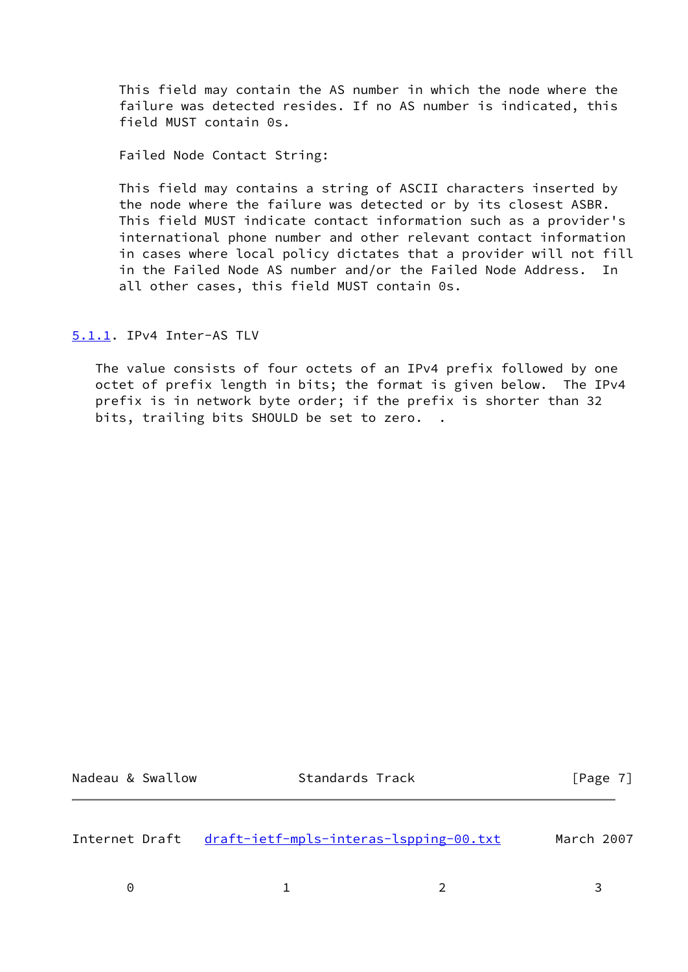This field may contain the AS number in which the node where the failure was detected resides. If no AS number is indicated, this field MUST contain 0s.

Failed Node Contact String:

 This field may contains a string of ASCII characters inserted by the node where the failure was detected or by its closest ASBR. This field MUST indicate contact information such as a provider's international phone number and other relevant contact information in cases where local policy dictates that a provider will not fill in the Failed Node AS number and/or the Failed Node Address. In all other cases, this field MUST contain 0s.

<span id="page-7-0"></span>[5.1.1](#page-7-0). IPv4 Inter-AS TLV

 The value consists of four octets of an IPv4 prefix followed by one octet of prefix length in bits; the format is given below. The IPv4 prefix is in network byte order; if the prefix is shorter than 32 bits, trailing bits SHOULD be set to zero. .

<span id="page-7-1"></span>

| Nadeau & Swallow | Standards Track                                       | [Page 7]   |
|------------------|-------------------------------------------------------|------------|
|                  | Internet Draft draft-ietf-mpls-interas-lspping-00.txt | March 2007 |
| 0                |                                                       |            |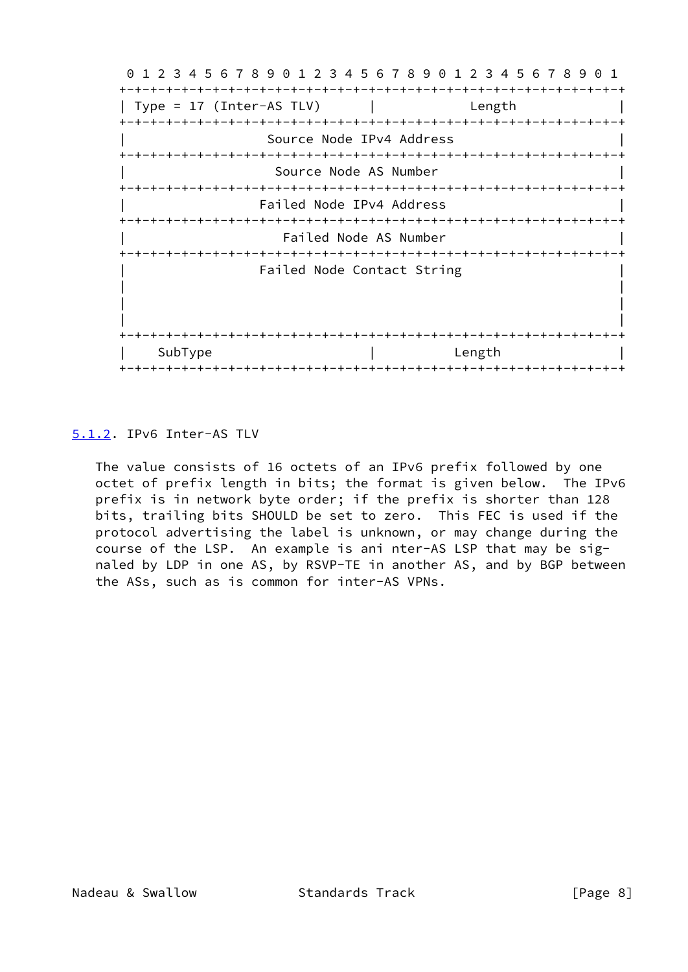0 1 2 3 4 5 6 7 8 9 0 1 2 3 4 5 6 7 8 9 0 1 2 3 4 5 6 7 8 9 0 1 +-+-+-+-+-+-+-+-+-+-+-+-+-+-+-+-+-+-+-+-+-+-+-+-+-+-+-+-+-+-+-+-+ | Type = 17 (Inter-AS TLV) | Length | +-+-+-+-+-+-+-+-+-+-+-+-+-+-+-+-+-+-+-+-+-+-+-+-+-+-+-+-+-+-+-+-+ Source Node IPv4 Address +-+-+-+-+-+-+-+-+-+-+-+-+-+-+-+-+-+-+-+-+-+-+-+-+-+-+-+-+-+-+-+-+ Source Node AS Number +-+-+-+-+-+-+-+-+-+-+-+-+-+-+-+-+-+-+-+-+-+-+-+-+-+-+-+-+-+-+-+-+ Failed Node IPv4 Address +-+-+-+-+-+-+-+-+-+-+-+-+-+-+-+-+-+-+-+-+-+-+-+-+-+-+-+-+-+-+-+-+ Failed Node AS Number +-+-+-+-+-+-+-+-+-+-+-+-+-+-+-+-+-+-+-+-+-+-+-+-+-+-+-+-+-+-+-+-+ Failed Node Contact String | | | | | | +-+-+-+-+-+-+-+-+-+-+-+-+-+-+-+-+-+-+-+-+-+-+-+-+-+-+-+-+-+-+-+-+ SubType | Length +-+-+-+-+-+-+-+-+-+-+-+-+-+-+-+-+-+-+-+-+-+-+-+-+-+-+-+-+-+-+-+-+

# <span id="page-8-0"></span>[5.1.2](#page-8-0). IPv6 Inter-AS TLV

 The value consists of 16 octets of an IPv6 prefix followed by one octet of prefix length in bits; the format is given below. The IPv6 prefix is in network byte order; if the prefix is shorter than 128 bits, trailing bits SHOULD be set to zero. This FEC is used if the protocol advertising the label is unknown, or may change during the course of the LSP. An example is ani nter-AS LSP that may be sig naled by LDP in one AS, by RSVP-TE in another AS, and by BGP between the ASs, such as is common for inter-AS VPNs.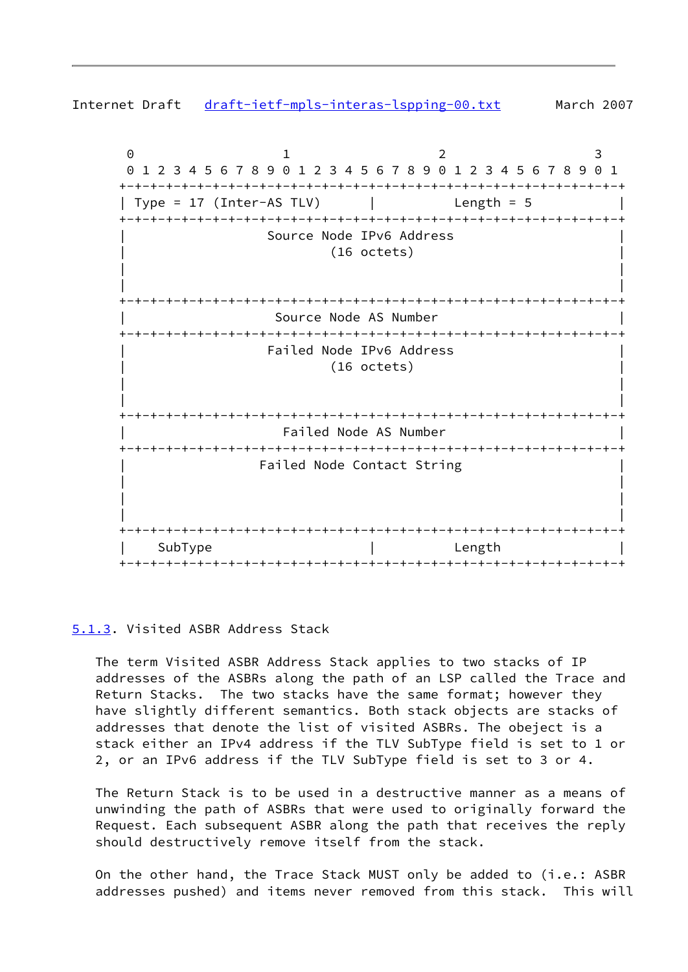<span id="page-9-1"></span>Internet Draft [draft-ietf-mpls-interas-lspping-00.txt](https://datatracker.ietf.org/doc/pdf/draft-ietf-mpls-interas-lspping-00.txt) March 2007

0 1 2 3 0 1 2 3 4 5 6 7 8 9 0 1 2 3 4 5 6 7 8 9 0 1 2 3 4 5 6 7 8 9 0 1 +-+-+-+-+-+-+-+-+-+-+-+-+-+-+-+-+-+-+-+-+-+-+-+-+-+-+-+-+-+-+-+-+ | Type = 17 (Inter-AS TLV)  $\vert$  Length = 5 +-+-+-+-+-+-+-+-+-+-+-+-+-+-+-+-+-+-+-+-+-+-+-+-+-+-+-+-+-+-+-+-+ Source Node IPv6 Address  $(16$  octets) | | | | +-+-+-+-+-+-+-+-+-+-+-+-+-+-+-+-+-+-+-+-+-+-+-+-+-+-+-+-+-+-+-+-+ Source Node AS Number +-+-+-+-+-+-+-+-+-+-+-+-+-+-+-+-+-+-+-+-+-+-+-+-+-+-+-+-+-+-+-+-+ Failed Node IPv6 Address  $(16$  octets) | | | | +-+-+-+-+-+-+-+-+-+-+-+-+-+-+-+-+-+-+-+-+-+-+-+-+-+-+-+-+-+-+-+-+ Failed Node AS Number +-+-+-+-+-+-+-+-+-+-+-+-+-+-+-+-+-+-+-+-+-+-+-+-+-+-+-+-+-+-+-+-+ Failed Node Contact String | | | | | | +-+-+-+-+-+-+-+-+-+-+-+-+-+-+-+-+-+-+-+-+-+-+-+-+-+-+-+-+-+-+-+-+ | SubType | Length | +-+-+-+-+-+-+-+-+-+-+-+-+-+-+-+-+-+-+-+-+-+-+-+-+-+-+-+-+-+-+-+-+

# <span id="page-9-0"></span>[5.1.3](#page-9-0). Visited ASBR Address Stack

 The term Visited ASBR Address Stack applies to two stacks of IP addresses of the ASBRs along the path of an LSP called the Trace and Return Stacks. The two stacks have the same format; however they have slightly different semantics. Both stack objects are stacks of addresses that denote the list of visited ASBRs. The obeject is a stack either an IPv4 address if the TLV SubType field is set to 1 or 2, or an IPv6 address if the TLV SubType field is set to 3 or 4.

 The Return Stack is to be used in a destructive manner as a means of unwinding the path of ASBRs that were used to originally forward the Request. Each subsequent ASBR along the path that receives the reply should destructively remove itself from the stack.

 On the other hand, the Trace Stack MUST only be added to (i.e.: ASBR addresses pushed) and items never removed from this stack. This will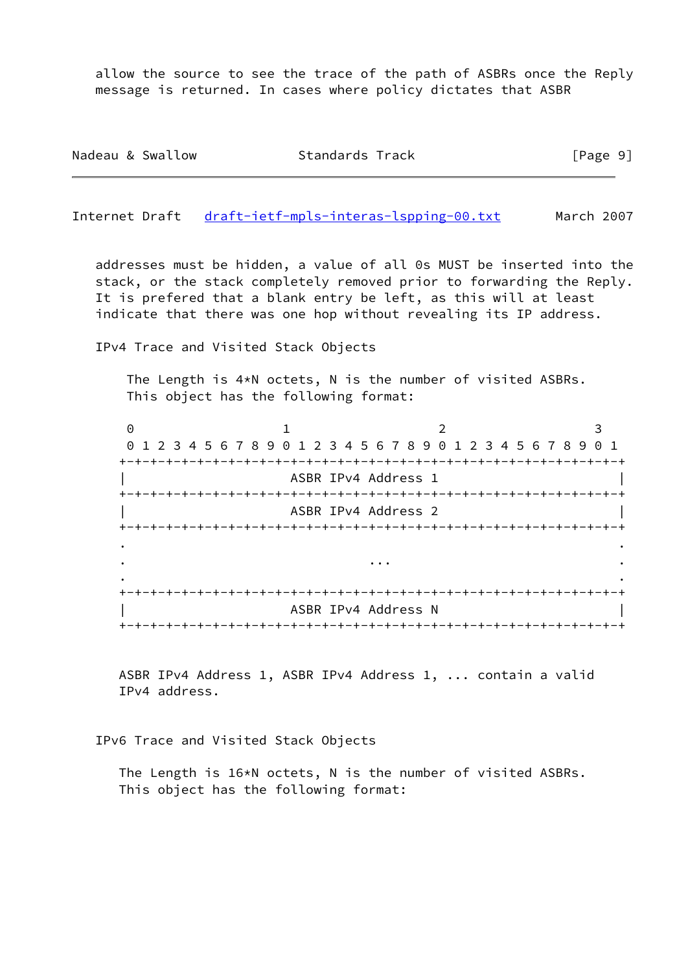allow the source to see the trace of the path of ASBRs once the Reply message is returned. In cases where policy dictates that ASBR

| Nadeau & Swallow | Standards Track | [Page 9] |  |
|------------------|-----------------|----------|--|
|                  |                 |          |  |

Internet Draft [draft-ietf-mpls-interas-lspping-00.txt](https://datatracker.ietf.org/doc/pdf/draft-ietf-mpls-interas-lspping-00.txt) March 2007

 addresses must be hidden, a value of all 0s MUST be inserted into the stack, or the stack completely removed prior to forwarding the Reply. It is prefered that a blank entry be left, as this will at least indicate that there was one hop without revealing its IP address.

IPv4 Trace and Visited Stack Objects

 The Length is 4\*N octets, N is the number of visited ASBRs. This object has the following format:

0 1 2 3 0 1 2 3 4 5 6 7 8 9 0 1 2 3 4 5 6 7 8 9 0 1 2 3 4 5 6 7 8 9 0 1 +-+-+-+-+-+-+-+-+-+-+-+-+-+-+-+-+-+-+-+-+-+-+-+-+-+-+-+-+-+-+-+-+ ASBR IPv4 Address 1 +-+-+-+-+-+-+-+-+-+-+-+-+-+-+-+-+-+-+-+-+-+-+-+-+-+-+-+-+-+-+-+-+ ASBR IPv4 Address 2 +-+-+-+-+-+-+-+-+-+-+-+-+-+-+-+-+-+-+-+-+-+-+-+-+-+-+-+-+-+-+-+-+ . . . The contract of the contract of the contract of the contract of the contract of the contract of the contract of the contract of the contract of the contract of the contract of the contract of the contract of the contrac . . +-+-+-+-+-+-+-+-+-+-+-+-+-+-+-+-+-+-+-+-+-+-+-+-+-+-+-+-+-+-+-+-+ | ASBR IPv4 Address N | +-+-+-+-+-+-+-+-+-+-+-+-+-+-+-+-+-+-+-+-+-+-+-+-+-+-+-+-+-+-+-+-+

 ASBR IPv4 Address 1, ASBR IPv4 Address 1, ... contain a valid IPv4 address.

IPv6 Trace and Visited Stack Objects

 The Length is 16\*N octets, N is the number of visited ASBRs. This object has the following format: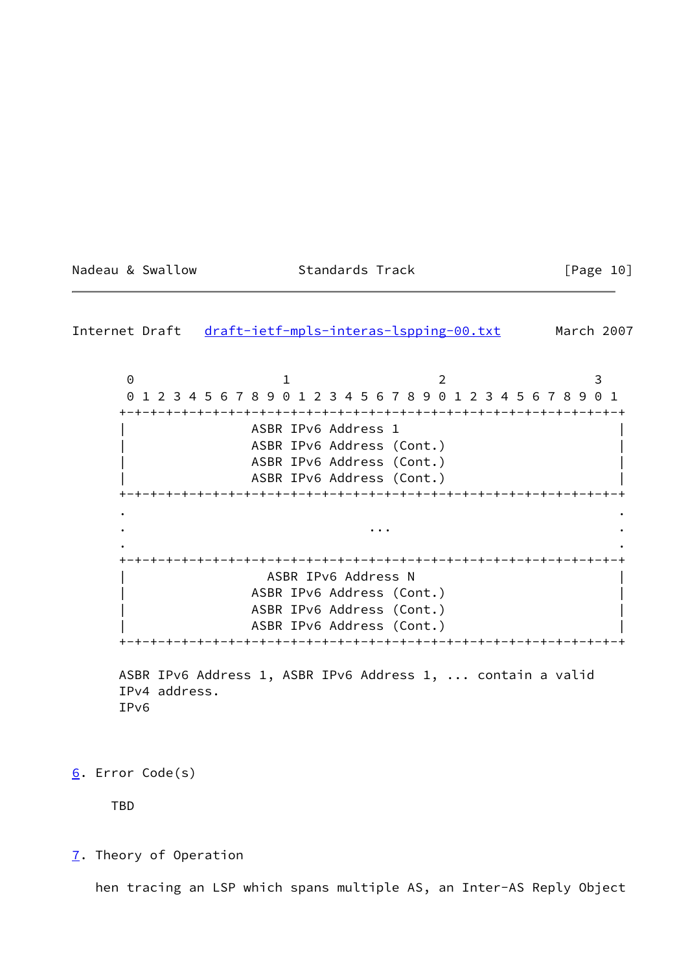Standards Track [Page 10]

<span id="page-11-1"></span>Internet Draft [draft-ietf-mpls-interas-lspping-00.txt](https://datatracker.ietf.org/doc/pdf/draft-ietf-mpls-interas-lspping-00.txt) March 2007

0 1 2 3 0 1 2 3 4 5 6 7 8 9 0 1 2 3 4 5 6 7 8 9 0 1 2 3 4 5 6 7 8 9 0 1 +-+-+-+-+-+-+-+-+-+-+-+-+-+-+-+-+-+-+-+-+-+-+-+-+-+-+-+-+-+-+-+-+ ASBR IPv6 Address 1 ASBR IPv6 Address (Cont.) ASBR IPv6 Address (Cont.) ASBR IPv6 Address (Cont.) +-+-+-+-+-+-+-+-+-+-+-+-+-+-+-+-+-+-+-+-+-+-+-+-+-+-+-+-+-+-+-+-+ . . . The contract of the contract of the contract of the contract of the contract of the contract of the contract of the contract of the contract of the contract of the contract of the contract of the contract of the contrac . . +-+-+-+-+-+-+-+-+-+-+-+-+-+-+-+-+-+-+-+-+-+-+-+-+-+-+-+-+-+-+-+-+ | ASBR IPv6 Address N | ASBR IPv6 Address (Cont.) ASBR IPv6 Address (Cont.) ASBR IPv6 Address (Cont.) +-+-+-+-+-+-+-+-+-+-+-+-+-+-+-+-+-+-+-+-+-+-+-+-+-+-+-+-+-+-+-+-+

 ASBR IPv6 Address 1, ASBR IPv6 Address 1, ... contain a valid IPv4 address. IPv6

<span id="page-11-0"></span>[6](#page-11-0). Error Code(s)

TBD

<span id="page-11-2"></span>[7](#page-11-2). Theory of Operation

hen tracing an LSP which spans multiple AS, an Inter-AS Reply Object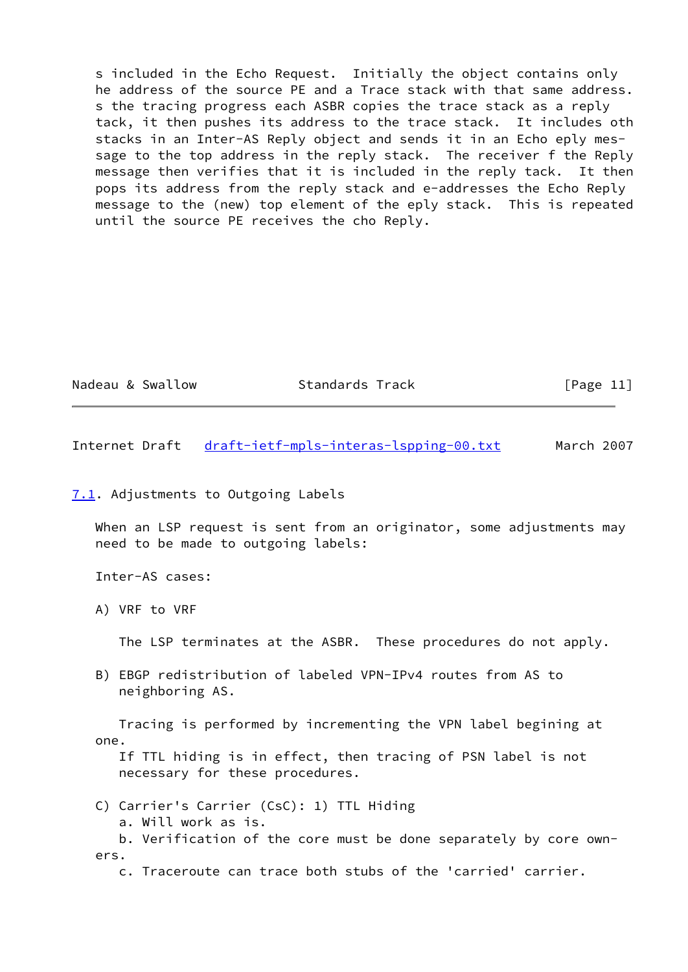s included in the Echo Request. Initially the object contains only he address of the source PE and a Trace stack with that same address. s the tracing progress each ASBR copies the trace stack as a reply tack, it then pushes its address to the trace stack. It includes oth stacks in an Inter-AS Reply object and sends it in an Echo eply mes sage to the top address in the reply stack. The receiver f the Reply message then verifies that it is included in the reply tack. It then pops its address from the reply stack and e-addresses the Echo Reply message to the (new) top element of the eply stack. This is repeated until the source PE receives the cho Reply.

| Nadeau & Swallow | Standards Track | [Page 11] |
|------------------|-----------------|-----------|
|                  |                 |           |

<span id="page-12-1"></span>Internet Draft [draft-ietf-mpls-interas-lspping-00.txt](https://datatracker.ietf.org/doc/pdf/draft-ietf-mpls-interas-lspping-00.txt) March 2007

#### <span id="page-12-0"></span>[7.1](#page-12-0). Adjustments to Outgoing Labels

When an LSP request is sent from an originator, some adjustments may need to be made to outgoing labels:

Inter-AS cases:

A) VRF to VRF

The LSP terminates at the ASBR. These procedures do not apply.

 B) EBGP redistribution of labeled VPN-IPv4 routes from AS to neighboring AS.

 Tracing is performed by incrementing the VPN label begining at one.

 If TTL hiding is in effect, then tracing of PSN label is not necessary for these procedures.

- C) Carrier's Carrier (CsC): 1) TTL Hiding
	- a. Will work as is.
- b. Verification of the core must be done separately by core own ers.
	- c. Traceroute can trace both stubs of the 'carried' carrier.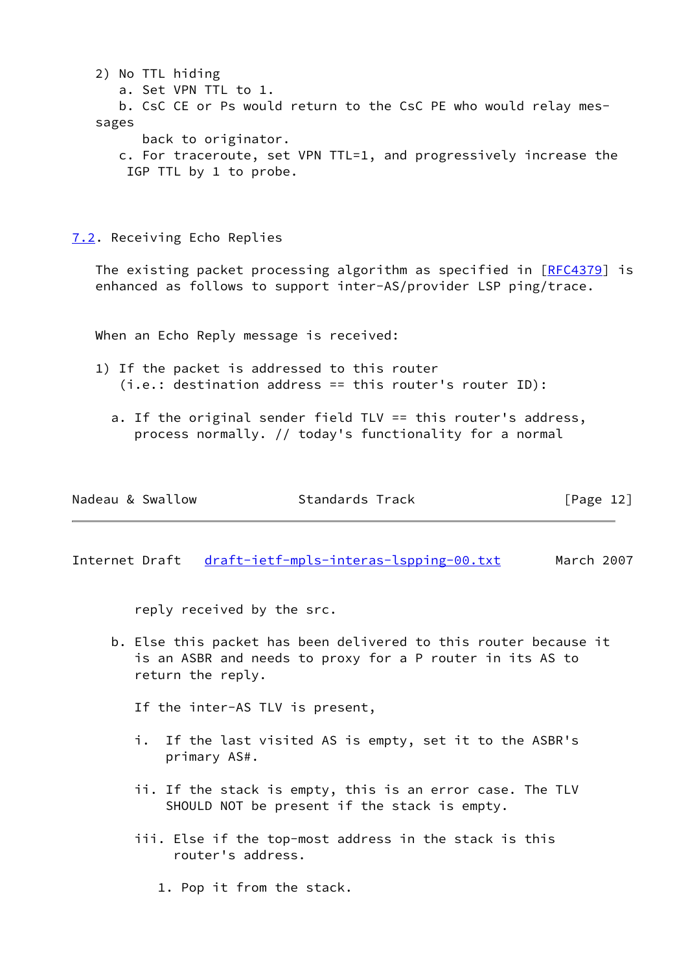2) No TTL hiding a. Set VPN TTL to 1. b. CsC CE or Ps would return to the CsC PE who would relay mes sages back to originator. c. For traceroute, set VPN TTL=1, and progressively increase the IGP TTL by 1 to probe. [7.2](#page-13-0). Receiving Echo Replies

<span id="page-13-0"></span>The existing packet processing algorithm as specified in [\[RFC4379](https://datatracker.ietf.org/doc/pdf/rfc4379)] is enhanced as follows to support inter-AS/provider LSP ping/trace.

When an Echo Reply message is received:

- 1) If the packet is addressed to this router (i.e.: destination address == this router's router ID):
	- a. If the original sender field TLV == this router's address, process normally. // today's functionality for a normal

| Nadeau & Swallow |  | Standards Track | [Page 12] |
|------------------|--|-----------------|-----------|
|------------------|--|-----------------|-----------|

Internet Draft [draft-ietf-mpls-interas-lspping-00.txt](https://datatracker.ietf.org/doc/pdf/draft-ietf-mpls-interas-lspping-00.txt) March 2007

reply received by the src.

 b. Else this packet has been delivered to this router because it is an ASBR and needs to proxy for a P router in its AS to return the reply.

If the inter-AS TLV is present,

- i. If the last visited AS is empty, set it to the ASBR's primary AS#.
- ii. If the stack is empty, this is an error case. The TLV SHOULD NOT be present if the stack is empty.
- iii. Else if the top-most address in the stack is this router's address.

1. Pop it from the stack.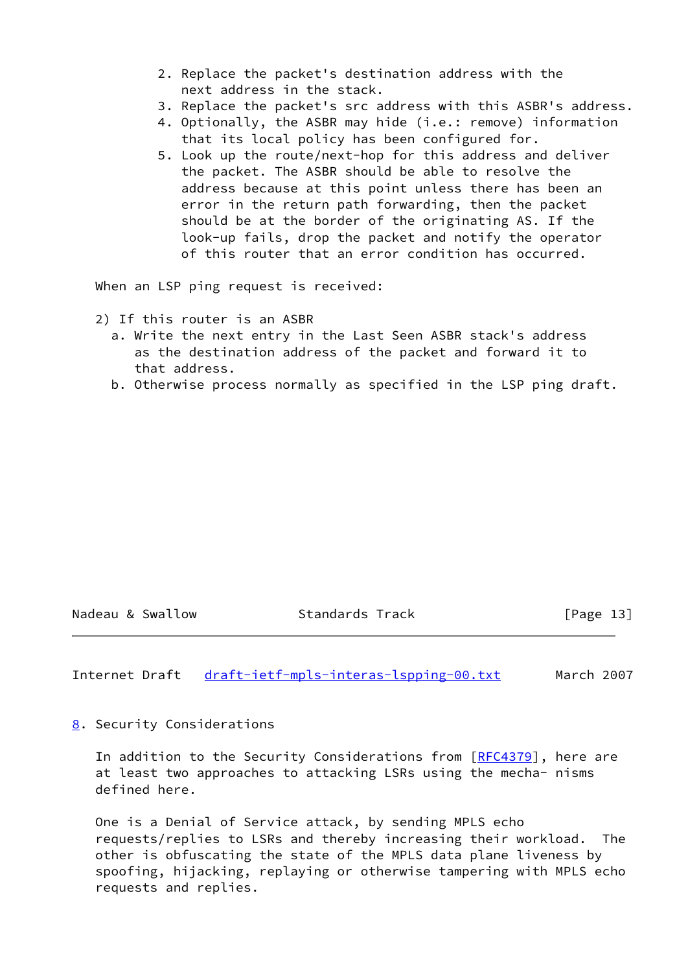- 2. Replace the packet's destination address with the next address in the stack.
- 3. Replace the packet's src address with this ASBR's address.
- 4. Optionally, the ASBR may hide (i.e.: remove) information that its local policy has been configured for.
- 5. Look up the route/next-hop for this address and deliver the packet. The ASBR should be able to resolve the address because at this point unless there has been an error in the return path forwarding, then the packet should be at the border of the originating AS. If the look-up fails, drop the packet and notify the operator of this router that an error condition has occurred.

When an LSP ping request is received:

- 2) If this router is an ASBR
	- a. Write the next entry in the Last Seen ASBR stack's address as the destination address of the packet and forward it to that address.
	- b. Otherwise process normally as specified in the LSP ping draft.

Nadeau & Swallow Standards Track [Page 13]

<span id="page-14-1"></span>Internet Draft [draft-ietf-mpls-interas-lspping-00.txt](https://datatracker.ietf.org/doc/pdf/draft-ietf-mpls-interas-lspping-00.txt) March 2007

<span id="page-14-0"></span>[8](#page-14-0). Security Considerations

In addition to the Security Considerations from [\[RFC4379](https://datatracker.ietf.org/doc/pdf/rfc4379)], here are at least two approaches to attacking LSRs using the mecha- nisms defined here.

 One is a Denial of Service attack, by sending MPLS echo requests/replies to LSRs and thereby increasing their workload. The other is obfuscating the state of the MPLS data plane liveness by spoofing, hijacking, replaying or otherwise tampering with MPLS echo requests and replies.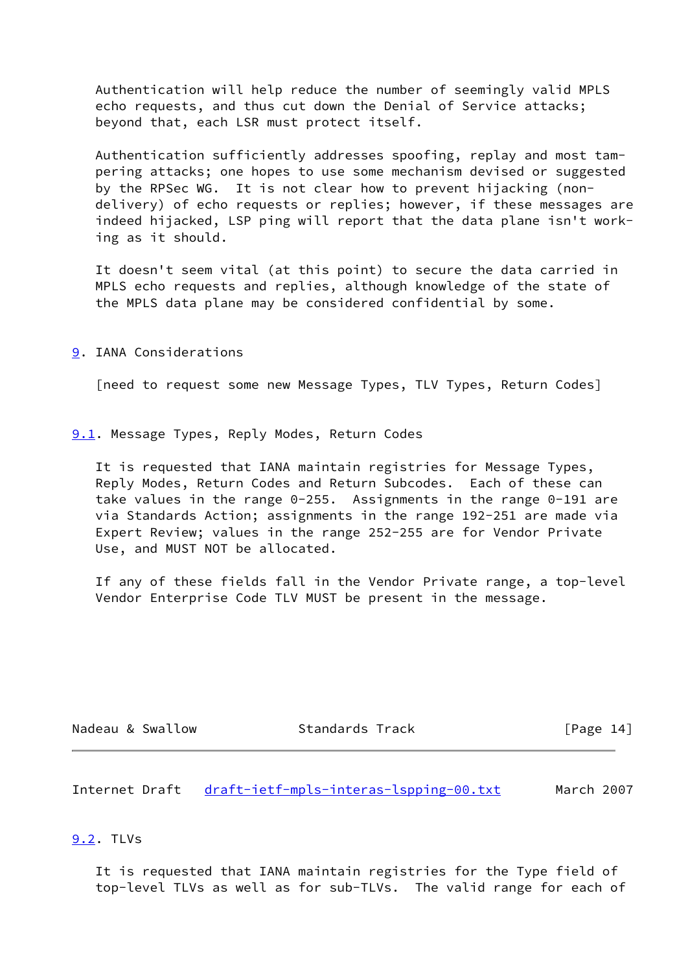Authentication will help reduce the number of seemingly valid MPLS echo requests, and thus cut down the Denial of Service attacks; beyond that, each LSR must protect itself.

 Authentication sufficiently addresses spoofing, replay and most tam pering attacks; one hopes to use some mechanism devised or suggested by the RPSec WG. It is not clear how to prevent hijacking (non delivery) of echo requests or replies; however, if these messages are indeed hijacked, LSP ping will report that the data plane isn't work ing as it should.

 It doesn't seem vital (at this point) to secure the data carried in MPLS echo requests and replies, although knowledge of the state of the MPLS data plane may be considered confidential by some.

<span id="page-15-0"></span>[9](#page-15-0). IANA Considerations

[need to request some new Message Types, TLV Types, Return Codes]

<span id="page-15-1"></span>**[9.1](#page-15-1).** Message Types, Reply Modes, Return Codes

 It is requested that IANA maintain registries for Message Types, Reply Modes, Return Codes and Return Subcodes. Each of these can take values in the range 0-255. Assignments in the range 0-191 are via Standards Action; assignments in the range 192-251 are made via Expert Review; values in the range 252-255 are for Vendor Private Use, and MUST NOT be allocated.

 If any of these fields fall in the Vendor Private range, a top-level Vendor Enterprise Code TLV MUST be present in the message.

| Nadeau & Swallow | Standards Track | [Page 14] |  |
|------------------|-----------------|-----------|--|
|                  |                 |           |  |

<span id="page-15-3"></span>Internet Draft [draft-ietf-mpls-interas-lspping-00.txt](https://datatracker.ietf.org/doc/pdf/draft-ietf-mpls-interas-lspping-00.txt) March 2007

### <span id="page-15-2"></span>[9.2](#page-15-2). TLVs

 It is requested that IANA maintain registries for the Type field of top-level TLVs as well as for sub-TLVs. The valid range for each of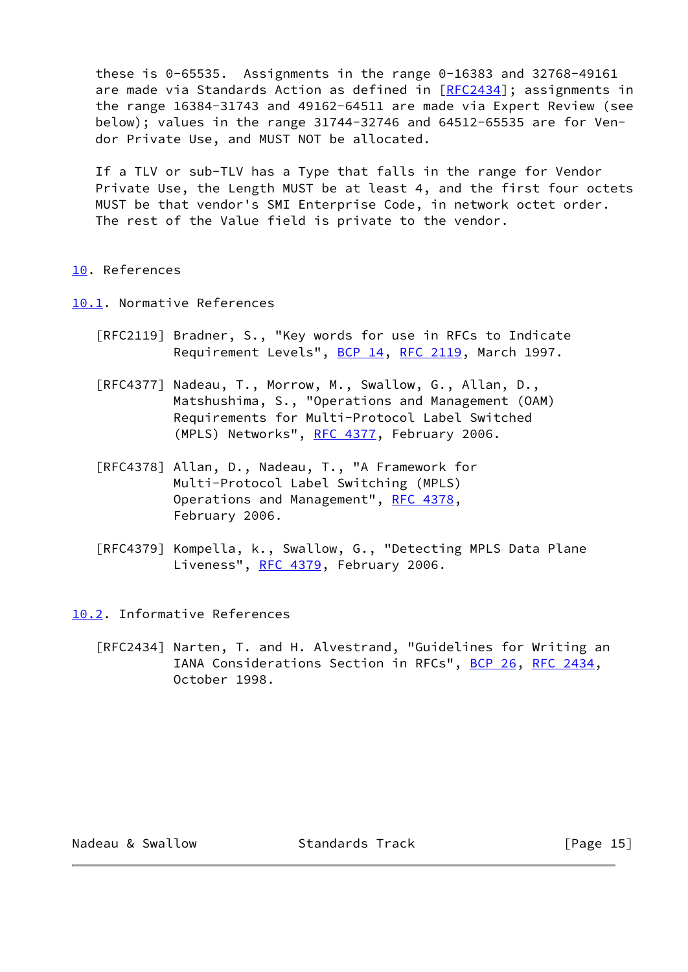these is  $0-65535$ . Assignments in the range  $0-16383$  and  $32768-49161$ are made via Standards Action as defined in [\[RFC2434](https://datatracker.ietf.org/doc/pdf/rfc2434)]; assignments in the range 16384-31743 and 49162-64511 are made via Expert Review (see below); values in the range 31744-32746 and 64512-65535 are for Ven dor Private Use, and MUST NOT be allocated.

 If a TLV or sub-TLV has a Type that falls in the range for Vendor Private Use, the Length MUST be at least 4, and the first four octets MUST be that vendor's SMI Enterprise Code, in network octet order. The rest of the Value field is private to the vendor.

### <span id="page-16-0"></span>[10.](#page-16-0) References

- <span id="page-16-1"></span>[10.1](#page-16-1). Normative References
	- [RFC2119] Bradner, S., "Key words for use in RFCs to Indicate Requirement Levels", [BCP 14](https://datatracker.ietf.org/doc/pdf/bcp14), [RFC 2119,](https://datatracker.ietf.org/doc/pdf/rfc2119) March 1997.
	- [RFC4377] Nadeau, T., Morrow, M., Swallow, G., Allan, D., Matshushima, S., "Operations and Management (OAM) Requirements for Multi-Protocol Label Switched (MPLS) Networks", [RFC 4377,](https://datatracker.ietf.org/doc/pdf/rfc4377) February 2006.
	- [RFC4378] Allan, D., Nadeau, T., "A Framework for Multi-Protocol Label Switching (MPLS) Operations and Management", [RFC 4378](https://datatracker.ietf.org/doc/pdf/rfc4378), February 2006.
	- [RFC4379] Kompella, k., Swallow, G., "Detecting MPLS Data Plane Liveness", [RFC 4379](https://datatracker.ietf.org/doc/pdf/rfc4379), February 2006.

<span id="page-16-2"></span>[10.2](#page-16-2). Informative References

 [RFC2434] Narten, T. and H. Alvestrand, "Guidelines for Writing an IANA Considerations Section in RFCs", [BCP 26](https://datatracker.ietf.org/doc/pdf/bcp26), [RFC 2434](https://datatracker.ietf.org/doc/pdf/rfc2434), October 1998.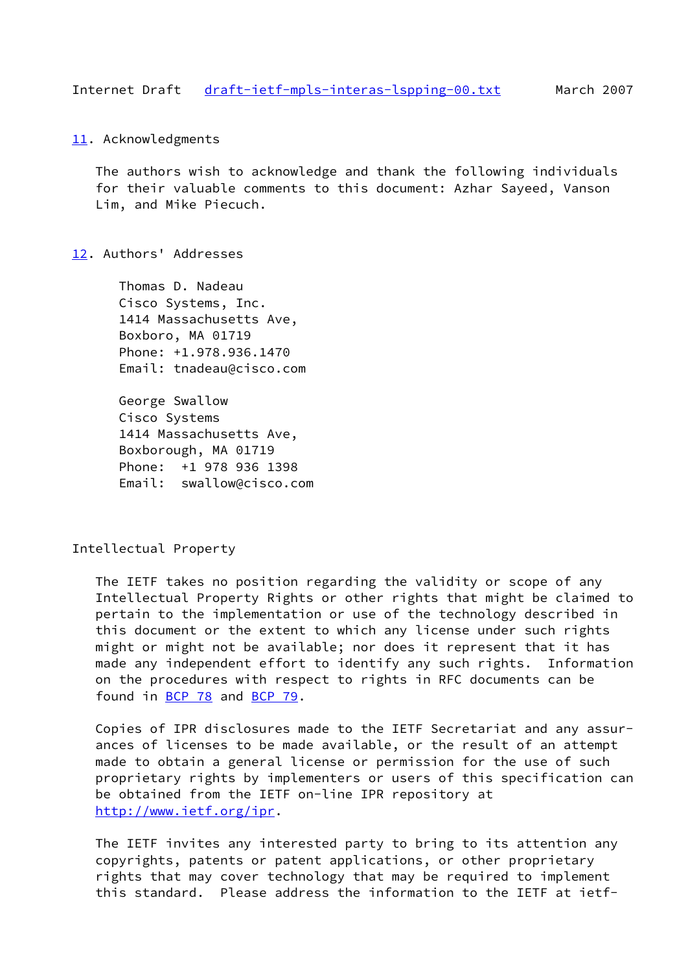#### <span id="page-17-1"></span><span id="page-17-0"></span>[11.](#page-17-0) Acknowledgments

 The authors wish to acknowledge and thank the following individuals for their valuable comments to this document: Azhar Sayeed, Vanson Lim, and Mike Piecuch.

<span id="page-17-2"></span>[12.](#page-17-2) Authors' Addresses

 Thomas D. Nadeau Cisco Systems, Inc. 1414 Massachusetts Ave, Boxboro, MA 01719 Phone: +1.978.936.1470 Email: tnadeau@cisco.com

 George Swallow Cisco Systems 1414 Massachusetts Ave, Boxborough, MA 01719 Phone: +1 978 936 1398 Email: swallow@cisco.com

Intellectual Property

 The IETF takes no position regarding the validity or scope of any Intellectual Property Rights or other rights that might be claimed to pertain to the implementation or use of the technology described in this document or the extent to which any license under such rights might or might not be available; nor does it represent that it has made any independent effort to identify any such rights. Information on the procedures with respect to rights in RFC documents can be found in [BCP 78](https://datatracker.ietf.org/doc/pdf/bcp78) and [BCP 79](https://datatracker.ietf.org/doc/pdf/bcp79).

 Copies of IPR disclosures made to the IETF Secretariat and any assur ances of licenses to be made available, or the result of an attempt made to obtain a general license or permission for the use of such proprietary rights by implementers or users of this specification can be obtained from the IETF on-line IPR repository at <http://www.ietf.org/ipr>.

 The IETF invites any interested party to bring to its attention any copyrights, patents or patent applications, or other proprietary rights that may cover technology that may be required to implement this standard. Please address the information to the IETF at ietf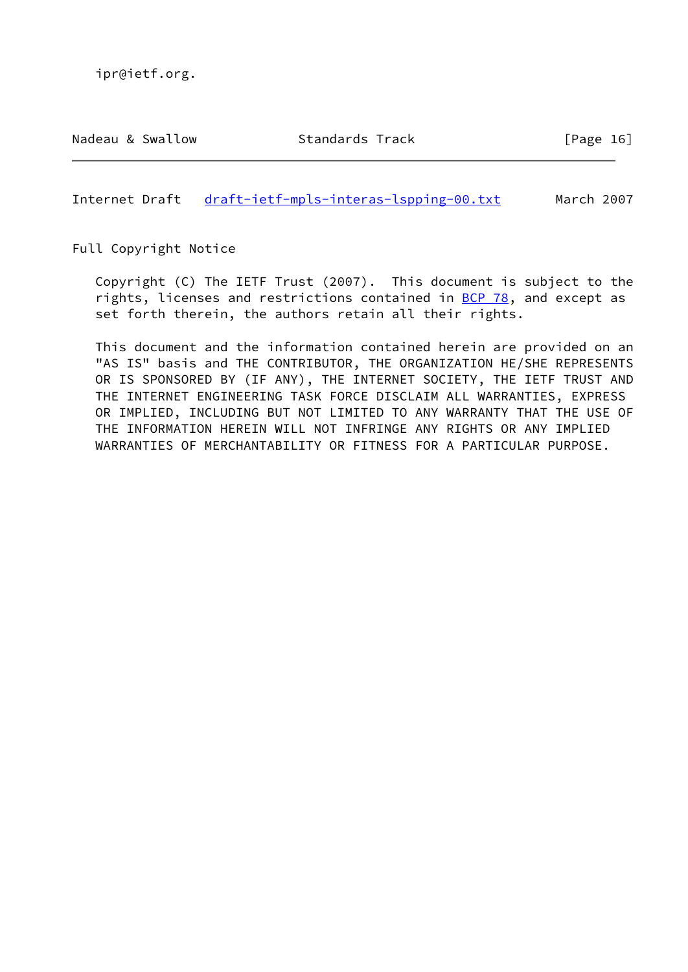Nadeau & Swallow Standards Track [Page 16]

Internet Draft [draft-ietf-mpls-interas-lspping-00.txt](https://datatracker.ietf.org/doc/pdf/draft-ietf-mpls-interas-lspping-00.txt) March 2007

Full Copyright Notice

 Copyright (C) The IETF Trust (2007). This document is subject to the rights, licenses and restrictions contained in [BCP 78](https://datatracker.ietf.org/doc/pdf/bcp78), and except as set forth therein, the authors retain all their rights.

 This document and the information contained herein are provided on an "AS IS" basis and THE CONTRIBUTOR, THE ORGANIZATION HE/SHE REPRESENTS OR IS SPONSORED BY (IF ANY), THE INTERNET SOCIETY, THE IETF TRUST AND THE INTERNET ENGINEERING TASK FORCE DISCLAIM ALL WARRANTIES, EXPRESS OR IMPLIED, INCLUDING BUT NOT LIMITED TO ANY WARRANTY THAT THE USE OF THE INFORMATION HEREIN WILL NOT INFRINGE ANY RIGHTS OR ANY IMPLIED WARRANTIES OF MERCHANTABILITY OR FITNESS FOR A PARTICULAR PURPOSE.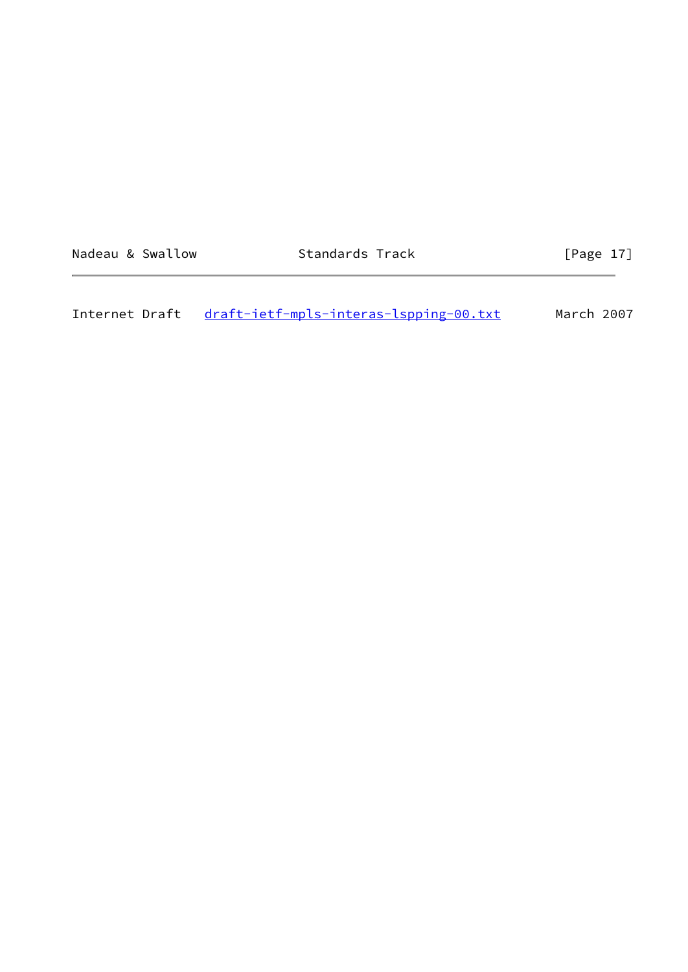|  |  | Nadeau & Swallow |  |
|--|--|------------------|--|
|--|--|------------------|--|

Standards Track [Page 17]

 $\overline{\phantom{a}}$ 

Internet Draft [draft-ietf-mpls-interas-lspping-00.txt](https://datatracker.ietf.org/doc/pdf/draft-ietf-mpls-interas-lspping-00.txt) March 2007